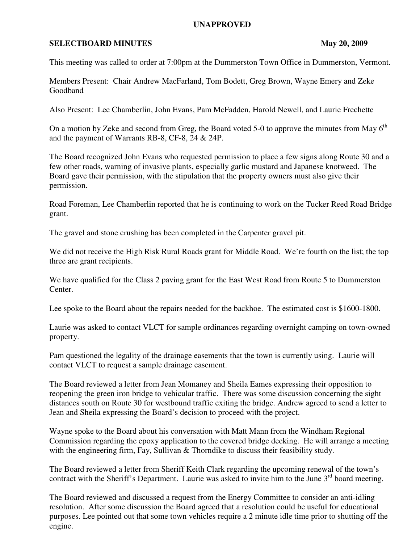## **UNAPPROVED**

## **SELECTBOARD MINUTES** May 20, 2009

This meeting was called to order at 7:00pm at the Dummerston Town Office in Dummerston, Vermont.

Members Present: Chair Andrew MacFarland, Tom Bodett, Greg Brown, Wayne Emery and Zeke Goodband

Also Present: Lee Chamberlin, John Evans, Pam McFadden, Harold Newell, and Laurie Frechette

On a motion by Zeke and second from Greg, the Board voted 5-0 to approve the minutes from May  $6<sup>th</sup>$ and the payment of Warrants RB-8, CF-8, 24 & 24P.

The Board recognized John Evans who requested permission to place a few signs along Route 30 and a few other roads, warning of invasive plants, especially garlic mustard and Japanese knotweed. The Board gave their permission, with the stipulation that the property owners must also give their permission.

Road Foreman, Lee Chamberlin reported that he is continuing to work on the Tucker Reed Road Bridge grant.

The gravel and stone crushing has been completed in the Carpenter gravel pit.

We did not receive the High Risk Rural Roads grant for Middle Road. We're fourth on the list; the top three are grant recipients.

We have qualified for the Class 2 paving grant for the East West Road from Route 5 to Dummerston Center.

Lee spoke to the Board about the repairs needed for the backhoe. The estimated cost is \$1600-1800.

Laurie was asked to contact VLCT for sample ordinances regarding overnight camping on town-owned property.

Pam questioned the legality of the drainage easements that the town is currently using. Laurie will contact VLCT to request a sample drainage easement.

The Board reviewed a letter from Jean Momaney and Sheila Eames expressing their opposition to reopening the green iron bridge to vehicular traffic. There was some discussion concerning the sight distances south on Route 30 for westbound traffic exiting the bridge. Andrew agreed to send a letter to Jean and Sheila expressing the Board's decision to proceed with the project.

Wayne spoke to the Board about his conversation with Matt Mann from the Windham Regional Commission regarding the epoxy application to the covered bridge decking. He will arrange a meeting with the engineering firm, Fay, Sullivan & Thorndike to discuss their feasibility study.

The Board reviewed a letter from Sheriff Keith Clark regarding the upcoming renewal of the town's contract with the Sheriff's Department. Laurie was asked to invite him to the June  $3<sup>rd</sup>$  board meeting.

The Board reviewed and discussed a request from the Energy Committee to consider an anti-idling resolution. After some discussion the Board agreed that a resolution could be useful for educational purposes. Lee pointed out that some town vehicles require a 2 minute idle time prior to shutting off the engine.